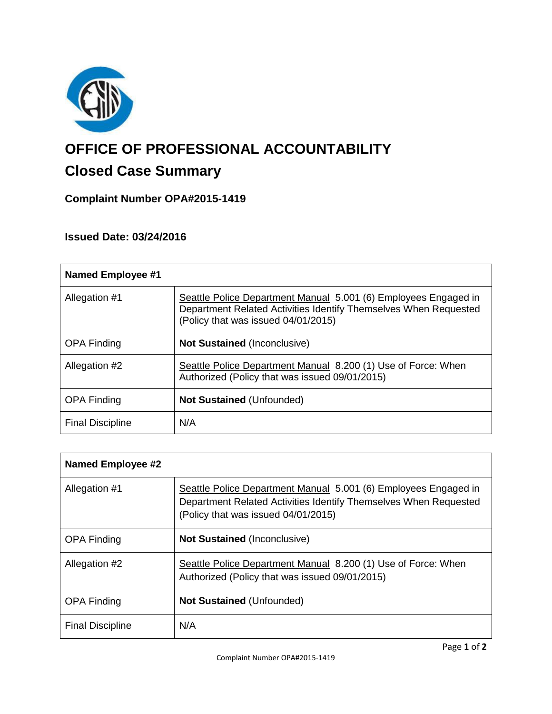

# **OFFICE OF PROFESSIONAL ACCOUNTABILITY**

# **Closed Case Summary**

## **Complaint Number OPA#2015-1419**

### **Issued Date: 03/24/2016**

| <b>Named Employee #1</b> |                                                                                                                                                                            |
|--------------------------|----------------------------------------------------------------------------------------------------------------------------------------------------------------------------|
| Allegation #1            | Seattle Police Department Manual 5.001 (6) Employees Engaged in<br>Department Related Activities Identify Themselves When Requested<br>(Policy that was issued 04/01/2015) |
| <b>OPA Finding</b>       | <b>Not Sustained (Inconclusive)</b>                                                                                                                                        |
| Allegation #2            | Seattle Police Department Manual 8.200 (1) Use of Force: When<br>Authorized (Policy that was issued 09/01/2015)                                                            |
| <b>OPA Finding</b>       | <b>Not Sustained (Unfounded)</b>                                                                                                                                           |
| <b>Final Discipline</b>  | N/A                                                                                                                                                                        |

| <b>Named Employee #2</b> |                                                                                                                                                                            |
|--------------------------|----------------------------------------------------------------------------------------------------------------------------------------------------------------------------|
| Allegation #1            | Seattle Police Department Manual 5.001 (6) Employees Engaged in<br>Department Related Activities Identify Themselves When Requested<br>(Policy that was issued 04/01/2015) |
| <b>OPA Finding</b>       | <b>Not Sustained (Inconclusive)</b>                                                                                                                                        |
| Allegation #2            | Seattle Police Department Manual 8.200 (1) Use of Force: When<br>Authorized (Policy that was issued 09/01/2015)                                                            |
| <b>OPA Finding</b>       | <b>Not Sustained (Unfounded)</b>                                                                                                                                           |
| <b>Final Discipline</b>  | N/A                                                                                                                                                                        |